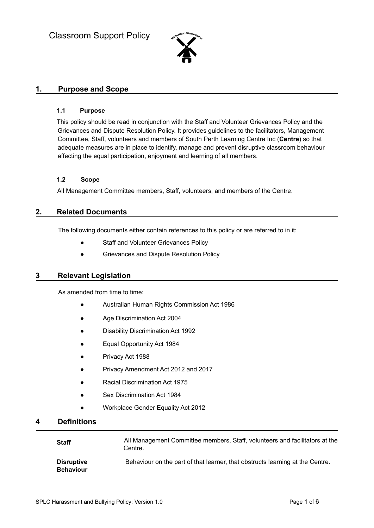

# **1. Purpose and Scope**

#### **1.1 Purpose**

This policy should be read in conjunction with the Staff and Volunteer Grievances Policy and the Grievances and Dispute Resolution Policy. It provides guidelines to the facilitators, Management Committee, Staff, volunteers and members of South Perth Learning Centre Inc (**Centre**) so that adequate measures are in place to identify, manage and prevent disruptive classroom behaviour affecting the equal participation, enjoyment and learning of all members.

#### **1.2 Scope**

All Management Committee members, Staff, volunteers, and members of the Centre.

## **2. Related Documents**

The following documents either contain references to this policy or are referred to in it:

- Staff and Volunteer Grievances Policy
- **Grievances and Dispute Resolution Policy**

# **3 Relevant Legislation**

As amended from time to time:

- Australian Human Rights Commission Act 1986
- Age Discrimination Act 2004
- **Disability Discrimination Act 1992**
- **Equal Opportunity Act 1984**
- Privacy Act 1988
- Privacy Amendment Act 2012 and 2017
- **Racial Discrimination Act 1975**
- Sex Discrimination Act 1984
- Workplace Gender Equality Act 2012

# **4 Definitions**

| <b>Staff</b>                          | All Management Committee members, Staff, volunteers and facilitators at the<br>Centre. |
|---------------------------------------|----------------------------------------------------------------------------------------|
| <b>Disruptive</b><br><b>Behaviour</b> | Behaviour on the part of that learner, that obstructs learning at the Centre.          |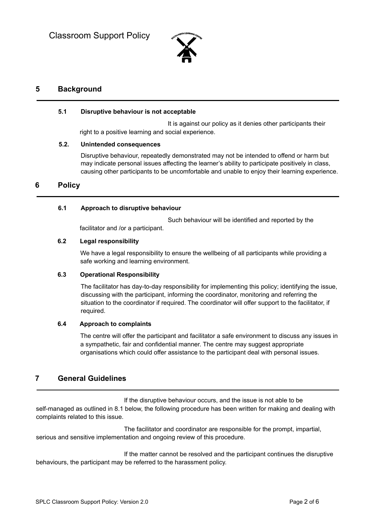

# **5 Background**

#### **5.1 Disruptive behaviour is not acceptable**

It is against our policy as it denies other participants their right to a positive learning and social experience.

#### **5.2. Unintended consequences**

Disruptive behaviour, repeatedly demonstrated may not be intended to offend or harm but may indicate personal issues affecting the learner's ability to participate positively in class, causing other participants to be uncomfortable and unable to enjoy their learning experience.

# **6 Policy**

#### **6.1 Approach to disruptive behaviour**

Such behaviour will be identified and reported by the facilitator and /or a participant.

## **6.2 Legal responsibility**

We have a legal responsibility to ensure the wellbeing of all participants while providing a safe working and learning environment.

#### **6.3 Operational Responsibility**

The facilitator has day-to-day responsibility for implementing this policy; identifying the issue, discussing with the participant, informing the coordinator, monitoring and referring the situation to the coordinator if required. The coordinator will offer support to the facilitator, if required.

#### **6.4 Approach to complaints**

The centre will offer the participant and facilitator a safe environment to discuss any issues in a sympathetic, fair and confidential manner. The centre may suggest appropriate organisations which could offer assistance to the participant deal with personal issues.

# **7 General Guidelines**

If the disruptive behaviour occurs, and the issue is not able to be self-managed as outlined in 8.1 below, the following procedure has been written for making and dealing with complaints related to this issue.

The facilitator and coordinator are responsible for the prompt, impartial, serious and sensitive implementation and ongoing review of this procedure.

If the matter cannot be resolved and the participant continues the disruptive behaviours, the participant may be referred to the harassment policy.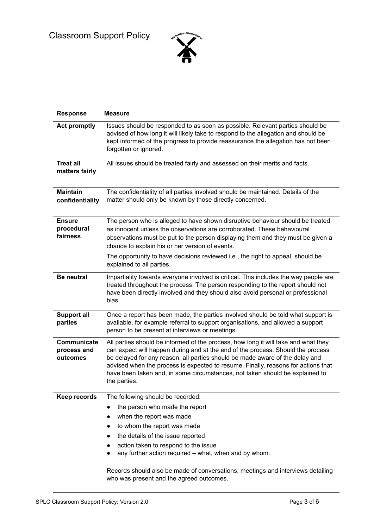

| <b>Response</b>                         | <b>Measure</b>                                                                                                                                                                                                                                                                                                                                                                                                                             |  |  |
|-----------------------------------------|--------------------------------------------------------------------------------------------------------------------------------------------------------------------------------------------------------------------------------------------------------------------------------------------------------------------------------------------------------------------------------------------------------------------------------------------|--|--|
| <b>Act promptly</b>                     | Issues should be responded to as soon as possible. Relevant parties should be<br>advised of how long it will likely take to respond to the allegation and should be<br>kept informed of the progress to provide reassurance the allegation has not been<br>forgotten or ignored.                                                                                                                                                           |  |  |
| <b>Treat all</b><br>matters fairly      | All issues should be treated fairly and assessed on their merits and facts.                                                                                                                                                                                                                                                                                                                                                                |  |  |
| <b>Maintain</b><br>confidentiality      | The confidentiality of all parties involved should be maintained. Details of the<br>matter should only be known by those directly concerned.                                                                                                                                                                                                                                                                                               |  |  |
| <b>Ensure</b><br>procedural<br>fairness | The person who is alleged to have shown disruptive behaviour should be treated<br>as innocent unless the observations are corroborated. These behavioural<br>observations must be put to the person displaying them and they must be given a<br>chance to explain his or her version of events.                                                                                                                                            |  |  |
|                                         | The opportunity to have decisions reviewed i.e., the right to appeal, should be<br>explained to all parties.                                                                                                                                                                                                                                                                                                                               |  |  |
| <b>Be neutral</b>                       | Impartiality towards everyone involved is critical. This includes the way people are<br>treated throughout the process. The person responding to the report should not<br>have been directly involved and they should also avoid personal or professional<br>bias.                                                                                                                                                                         |  |  |
| <b>Support all</b><br>parties           | Once a report has been made, the parties involved should be told what support is<br>available, for example referral to support organisations, and allowed a support<br>person to be present at interviews or meetings.                                                                                                                                                                                                                     |  |  |
| Communicate<br>process and<br>outcomes  | All parties should be informed of the process, how long it will take and what they<br>can expect will happen during and at the end of the process. Should the process<br>be delayed for any reason, all parties should be made aware of the delay and<br>advised when the process is expected to resume. Finally, reasons for actions that<br>have been taken and, in some circumstances, not taken should be explained to<br>the parties. |  |  |
| Keep records                            | The following should be recorded:                                                                                                                                                                                                                                                                                                                                                                                                          |  |  |
|                                         | the person who made the report<br>when the report was made                                                                                                                                                                                                                                                                                                                                                                                 |  |  |
|                                         | to whom the report was made                                                                                                                                                                                                                                                                                                                                                                                                                |  |  |
|                                         | the details of the issue reported                                                                                                                                                                                                                                                                                                                                                                                                          |  |  |
|                                         | action taken to respond to the issue<br>any further action required – what, when and by whom.                                                                                                                                                                                                                                                                                                                                              |  |  |
|                                         | Records should also be made of conversations, meetings and interviews detailing<br>who was present and the agreed outcomes.                                                                                                                                                                                                                                                                                                                |  |  |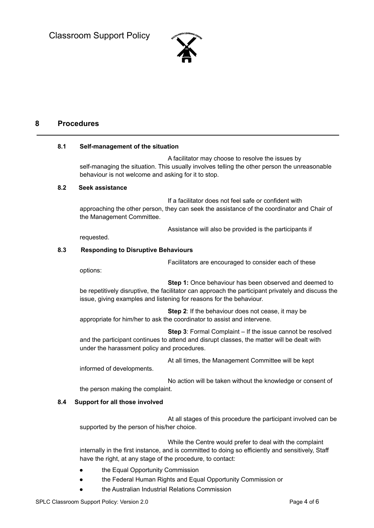

# **8 Procedures**

#### **8.1 Self-management of the situation**

A facilitator may choose to resolve the issues by self-managing the situation. This usually involves telling the other person the unreasonable behaviour is not welcome and asking for it to stop.

#### **8.2 Seek assistance**

If a facilitator does not feel safe or confident with approaching the other person, they can seek the assistance of the coordinator and Chair of the Management Committee.

Assistance will also be provided is the participants if

requested.

#### **8.3 Responding to Disruptive Behaviours**

Facilitators are encouraged to consider each of these

options:

**Step 1:** Once behaviour has been observed and deemed to be repetitively disruptive, the facilitator can approach the participant privately and discuss the issue, giving examples and listening for reasons for the behaviour.

**Step 2**: If the behaviour does not cease, it may be appropriate for him/her to ask the coordinator to assist and intervene.

**Step 3**: Formal Complaint – If the issue cannot be resolved and the participant continues to attend and disrupt classes, the matter will be dealt with under the harassment policy and procedures.

At all times, the Management Committee will be kept

informed of developments.

No action will be taken without the knowledge or consent of the person making the complaint.

#### **8.4 Support for all those involved**

At all stages of this procedure the participant involved can be supported by the person of his/her choice.

While the Centre would prefer to deal with the complaint internally in the first instance, and is committed to doing so efficiently and sensitively, Staff have the right, at any stage of the procedure, to contact:

- the Equal Opportunity Commission
- the Federal Human Rights and Equal Opportunity Commission or
- the Australian Industrial Relations Commission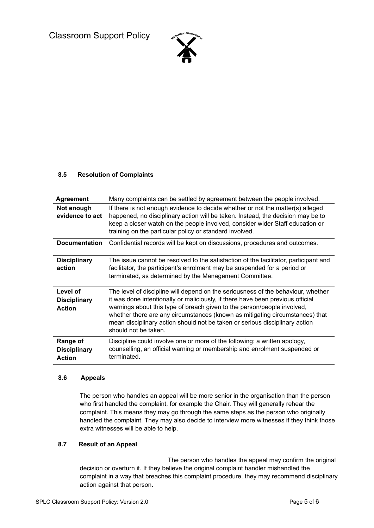Classroom Support Policy



## **8.5 Resolution of Complaints**

| <b>Agreement</b>                                 | Many complaints can be settled by agreement between the people involved.                                                                                                                                                                                                                                                                                                                                                             |  |  |
|--------------------------------------------------|--------------------------------------------------------------------------------------------------------------------------------------------------------------------------------------------------------------------------------------------------------------------------------------------------------------------------------------------------------------------------------------------------------------------------------------|--|--|
| Not enough<br>evidence to act                    | If there is not enough evidence to decide whether or not the matter(s) alleged<br>happened, no disciplinary action will be taken. Instead, the decision may be to<br>keep a closer watch on the people involved, consider wider Staff education or<br>training on the particular policy or standard involved.                                                                                                                        |  |  |
| <b>Documentation</b>                             | Confidential records will be kept on discussions, procedures and outcomes.                                                                                                                                                                                                                                                                                                                                                           |  |  |
| <b>Disciplinary</b><br>action                    | The issue cannot be resolved to the satisfaction of the facilitator, participant and<br>facilitator, the participant's enrolment may be suspended for a period or<br>terminated, as determined by the Management Committee.                                                                                                                                                                                                          |  |  |
| Level of<br><b>Disciplinary</b><br><b>Action</b> | The level of discipline will depend on the seriousness of the behaviour, whether<br>it was done intentionally or maliciously, if there have been previous official<br>warnings about this type of breach given to the person/people involved,<br>whether there are any circumstances (known as mitigating circumstances) that<br>mean disciplinary action should not be taken or serious disciplinary action<br>should not be taken. |  |  |
| Range of<br><b>Disciplinary</b><br><b>Action</b> | Discipline could involve one or more of the following: a written apology,<br>counselling, an official warning or membership and enrolment suspended or<br>terminated.                                                                                                                                                                                                                                                                |  |  |

#### **8.6 Appeals**

The person who handles an appeal will be more senior in the organisation than the person who first handled the complaint, for example the Chair. They will generally rehear the complaint. This means they may go through the same steps as the person who originally handled the complaint. They may also decide to interview more witnesses if they think those extra witnesses will be able to help.

## **8.7 Result of an Appeal**

The person who handles the appeal may confirm the original decision or overturn it. If they believe the original complaint handler mishandled the complaint in a way that breaches this complaint procedure, they may recommend disciplinary action against that person.